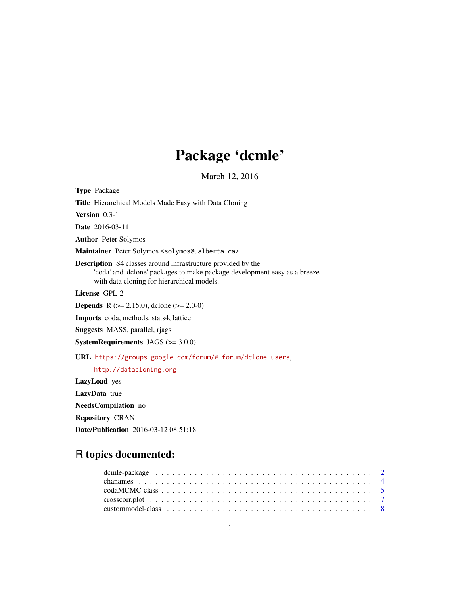# Package 'dcmle'

March 12, 2016

<span id="page-0-0"></span>Type Package Title Hierarchical Models Made Easy with Data Cloning Version 0.3-1 Date 2016-03-11 Author Peter Solymos

Maintainer Peter Solymos <solymos@ualberta.ca>

Description S4 classes around infrastructure provided by the 'coda' and 'dclone' packages to make package development easy as a breeze with data cloning for hierarchical models.

License GPL-2

**Depends** R ( $>= 2.15.0$ ), dclone ( $>= 2.0-0$ )

Imports coda, methods, stats4, lattice

Suggests MASS, parallel, rjags

SystemRequirements JAGS (>= 3.0.0)

URL <https://groups.google.com/forum/#!forum/dclone-users>,

<http://datacloning.org>

LazyLoad yes LazyData true NeedsCompilation no Repository CRAN Date/Publication 2016-03-12 08:51:18

# R topics documented: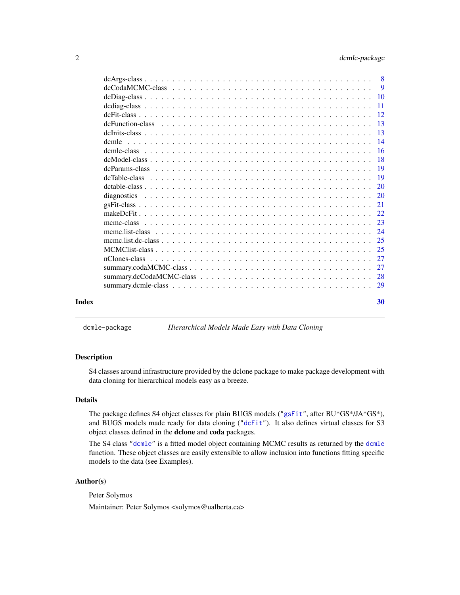<span id="page-1-0"></span>

|       |       | $\overline{9}$ |
|-------|-------|----------------|
|       |       |                |
|       |       |                |
|       |       |                |
|       |       |                |
|       |       |                |
|       | dcmle |                |
|       |       |                |
|       |       |                |
|       |       |                |
|       |       |                |
|       |       | <sup>20</sup>  |
|       |       |                |
|       |       |                |
|       |       |                |
|       |       |                |
|       |       |                |
|       |       |                |
|       |       |                |
|       |       |                |
|       |       |                |
|       |       |                |
|       |       |                |
| Index |       | 30             |

<span id="page-1-1"></span>dcmle-package *Hierarchical Models Made Easy with Data Cloning*

#### Description

S4 classes around infrastructure provided by the dclone package to make package development with data cloning for hierarchical models easy as a breeze.

# Details

The package defines S4 object classes for plain BUGS models (["gsFit"](#page-20-1), after BU\*GS\*/JA\*GS\*), and BUGS models made ready for data cloning (["dcFit"](#page-11-1)). It also defines virtual classes for S3 object classes defined in the dclone and coda packages.

The S4 class ["dcmle"](#page-15-1) is a fitted model object containing MCMC results as returned by the [dcmle](#page-13-1) function. These object classes are easily extensible to allow inclusion into functions fitting specific models to the data (see Examples).

#### Author(s)

Peter Solymos

Maintainer: Peter Solymos <solymos@ualberta.ca>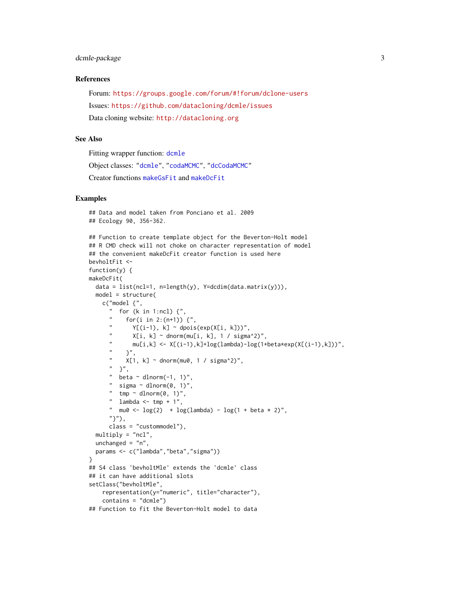# <span id="page-2-0"></span>dcmle-package 3

# References

Forum: <https://groups.google.com/forum/#!forum/dclone-users> Issues: <https://github.com/datacloning/dcmle/issues> Data cloning website: <http://datacloning.org>

#### See Also

Fitting wrapper function: [dcmle](#page-13-1) Object classes: ["dcmle"](#page-15-1), ["codaMCMC"](#page-4-1), ["dcCodaMCMC"](#page-8-1) Creator functions [makeGsFit](#page-21-1) and [makeDcFit](#page-21-2)

# Examples

```
## Data and model taken from Ponciano et al. 2009
## Ecology 90, 356-362.
## Function to create template object for the Beverton-Holt model
## R CMD check will not choke on character representation of model
## the convenient makeDcFit creator function is used here
bevholtFit <-
function(y) \{makeDcFit(
  data = list(ncl=1, n=length(y), Y=dcdim(data.matrix(y))),
  model = structure(
    c("model {",
      " for (k \text{ in } 1:\text{ncl}) \binom{n}{k},
           for(i in 2:(n+1)) \{ ",
       " Y[(i-1), k] \sim \text{dpois}(\exp(X[i, k]))",
              X[i, k] \sim dnorm(mu[i, k], 1 / sigma^2)",
       \sum_{n=1}^{m} mu[i,k] <- X[(i-1),k]+log(lambda)-log(1+beta*exp(X[(i-1),k]))",
       \begin{array}{ccc} n & & \\ n & & \sqrt{14} \\ n & & \sqrt{14} \end{array}X[1, k] \sim dnorm(mu0, 1 / sigma^2)",
      " }",
      " beta \sim dlnorm(-1, 1)",
      " sigma \sim dlnorm(0, 1)",
       " \text{tmp} \sim \text{dnorm}(\emptyset, 1)",
       " lambda \leq tmp + 1",
      " mu0 <- \log(2) + \log(\text{lambda}) - \log(1 + \text{beta} \times 2)",
      "}"),
      class = "custommodel"),
  multiply = "ncl",
  unchanged = "n",
  params <- c("lambda","beta","sigma"))
}
## S4 class 'bevholtMle' extends the 'dcmle' class
## it can have additional slots
setClass("bevholtMle",
    representation(y="numeric", title="character"),
    contains = "dcmle")
## Function to fit the Beverton-Holt model to data
```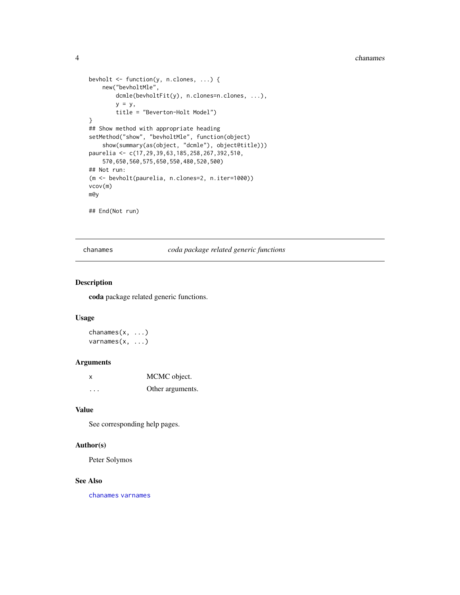```
bevholt <- function(y, n.clones, ...) {
   new("bevholtMle",
       dcmle(bevholtFit(y), n.clones=n.clones, ...),
        y = y,
        title = "Beverton-Holt Model")
}
## Show method with appropriate heading
setMethod("show", "bevholtMle", function(object)
    show(summary(as(object, "dcmle"), object@title)))
paurelia <- c(17,29,39,63,185,258,267,392,510,
    570,650,560,575,650,550,480,520,500)
## Not run:
(m <- bevholt(paurelia, n.clones=2, n.iter=1000))
vcov(m)
m@y
## End(Not run)
```
chanames *coda package related generic functions*

#### <span id="page-3-2"></span>Description

coda package related generic functions.

# Usage

chanames $(x, \ldots)$ varnames(x, ...)

#### Arguments

| x | MCMC object.     |
|---|------------------|
| . | Other arguments. |

#### Value

See corresponding help pages.

# Author(s)

Peter Solymos

#### See Also

[chanames](#page-3-1) [varnames](#page-3-2)

<span id="page-3-0"></span>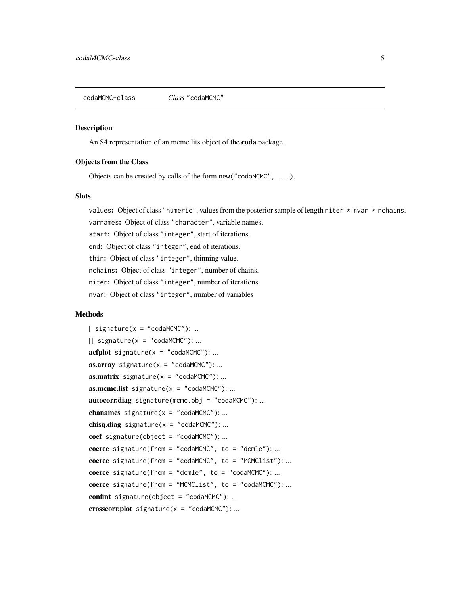<span id="page-4-1"></span><span id="page-4-0"></span>codaMCMC-class *Class* "codaMCMC"

### Description

An S4 representation of an mcmc.lits object of the coda package.

#### Objects from the Class

Objects can be created by calls of the form new("codaMCMC", ...).

#### Slots

values: Object of class "numeric", values from the posterior sample of length niter  $*$  nvar  $*$  nchains.

varnames: Object of class "character", variable names. start: Object of class "integer", start of iterations. end: Object of class "integer", end of iterations. thin: Object of class "integer", thinning value. nchains: Object of class "integer", number of chains. niter: Object of class "integer", number of iterations. nvar: Object of class "integer", number of variables

# Methods

```
[ signature(x = "codaMCMC"): ...
\iiint signature(x = "codaMCMC"): ...
\textbf{acfblot} signature(x = "codaMCMC"): ...
\textbf{as.} \textbf{array} signature(x = "codaMCMC"): ...
as.matrix signature(x = "codamCMC"): ...

autocorr.diag signature(mcmc.obj = "codaMCMC"):...
chanames signature(x = "codamCMC"): ...
chisq.diag signature(x = "codamCMC"): ...
coef signature(object = "codaMCMC"): ...
coerce signature(from = "codaMCMC", to = "dcmle"): ...
coerce signature(from = "codaMCMC", to = "MCMClist"): ...
coerce signature(from = "dcmle", to = "codaMCMC"): ...
coerce signature(from = "MCMClist", to = "codaMCMC"): ...
confint signature(object = "codaMCMC"): ...
\text{crossover.plot signature}(x = "codamCMC"); ...
```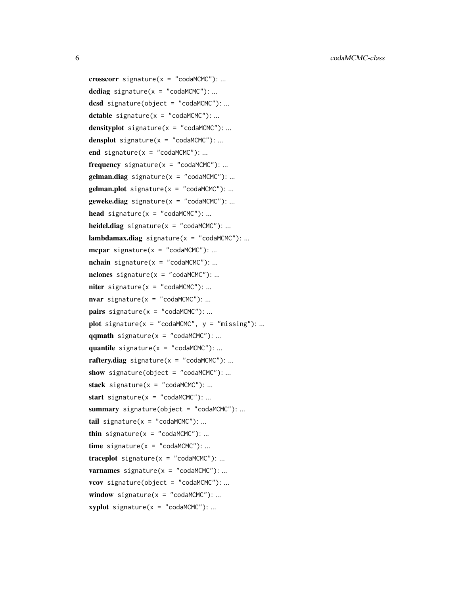crosscorr signature( $x = "codamCMC")$ : ... dcdiag signature( $x = "codamCMC")$ :... dcsd signature(object = "codaMCMC"): ... dctable signature( $x = "codamCMC")$ : ... densityplot signature( $x = "codamCMC")$ : ... densplot signature( $x = "codamCMC")$ : ... end signature( $x = "codamCMC")$ : ...  $frequency$  signature( $x = "codamCMC")$ : ...  $gelman.diag$  signature( $x = "codamCMC")$ :...  $gelman.plot$  signature( $x = "codamCMC")$ : ...  $geweke.diag$  signature( $x = "codamCMC")$ : ... head signature( $x = "codamCMC")$ : ... **heidel.diag** signature( $x = "codamCMC")$ : ...  $lambdaamodamax.diag$  signature( $x = "codamCMC")$ :...  $mcpar$  signature(x = "codaMCMC"): ...  $nchain$  signature( $x = "codamCMC")$ : ... nclones signature( $x = "codamCMC")$ : ...  $\text{niter}$  signature(x = "codaMCMC"): ...  $\textbf{war}$  signature(x = "codaMCMC"): ... **pairs** signature( $x =$  "codaMCMC"): ... plot signature( $x = "codamCMC", y = "missing": ...$  $qqmath$  signature(x = "codaMCMC"): ... quantile signature( $x = "codamCMC")$ : ...  $rafter$ *x*diag signature( $x = "codamCMC")$ : ... show signature(object = "codaMCMC"): ... stack signature( $x = "codamCMC")$ : ... start signature( $x = "codamCMC")$ : ... summary signature(object = "codaMCMC"): ... tail signature( $x = "codamCMC")$ : ... thin signature( $x = "codamCMC")$ : ...  $time$  signature( $x = "codamCMC")$ : ...  $traceplot$  signature( $x = "codamCMC")$ : ... **varnames** signature( $x = "codamCMC")$ : ... vcov signature(object = "codaMCMC"): ... window signature( $x =$  "codaMCMC"): ...  $xyplot$  signature( $x = "codamCMC")$ :...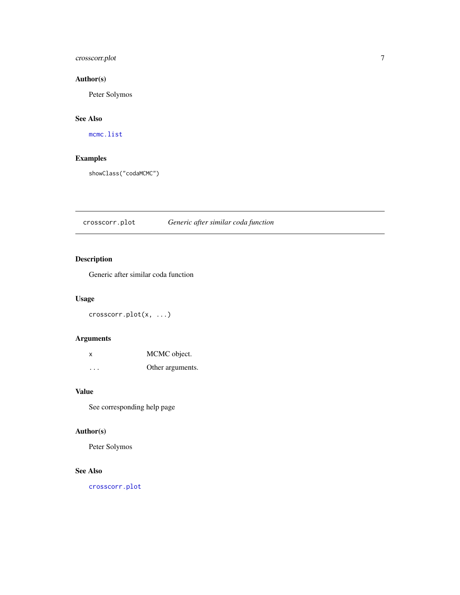# <span id="page-6-0"></span>crosscorr.plot 7

# Author(s)

Peter Solymos

# See Also

[mcmc.list](#page-0-0)

# Examples

showClass("codaMCMC")

# <span id="page-6-1"></span>crosscorr.plot *Generic after similar coda function*

# Description

Generic after similar coda function

# Usage

crosscorr.plot(x, ...)

# Arguments

| X        | MCMC object.     |
|----------|------------------|
| $\cdots$ | Other arguments. |

#### Value

See corresponding help page

# Author(s)

Peter Solymos

# See Also

[crosscorr.plot](#page-6-1)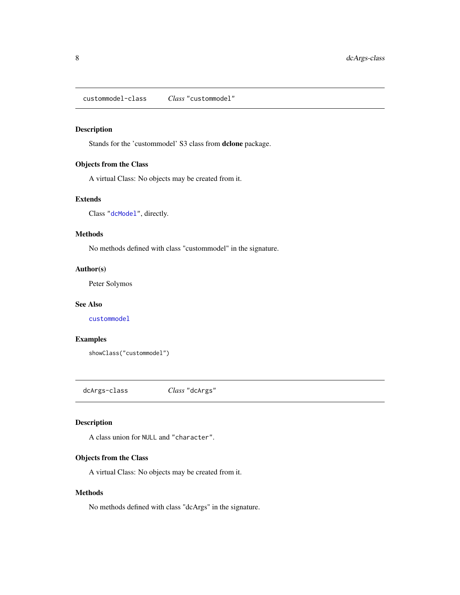<span id="page-7-0"></span>custommodel-class *Class* "custommodel"

# Description

Stands for the 'custommodel' S3 class from dclone package.

# Objects from the Class

A virtual Class: No objects may be created from it.

# Extends

Class ["dcModel"](#page-17-1), directly.

#### Methods

No methods defined with class "custommodel" in the signature.

# Author(s)

Peter Solymos

#### See Also

[custommodel](#page-0-0)

# Examples

```
showClass("custommodel")
```
dcArgs-class *Class* "dcArgs"

### Description

A class union for NULL and "character".

# Objects from the Class

A virtual Class: No objects may be created from it.

# Methods

No methods defined with class "dcArgs" in the signature.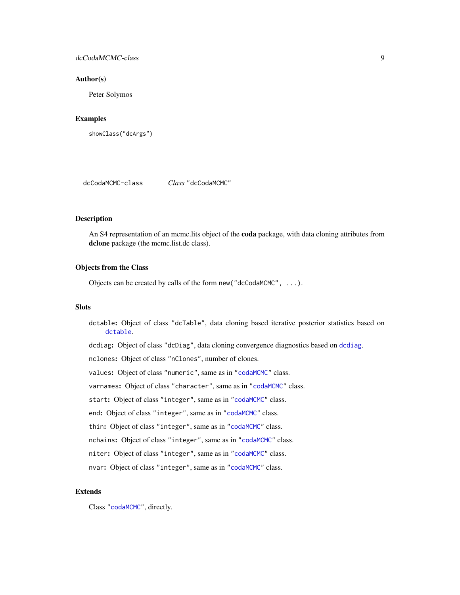# <span id="page-8-0"></span>dcCodaMCMC-class 9

#### Author(s)

Peter Solymos

#### Examples

```
showClass("dcArgs")
```
<span id="page-8-1"></span>dcCodaMCMC-class *Class* "dcCodaMCMC"

# Description

An S4 representation of an mcmc.lits object of the **coda** package, with data cloning attributes from dclone package (the mcmc.list.dc class).

#### Objects from the Class

Objects can be created by calls of the form new("dcCodaMCMC", ...).

#### **Slots**

dctable: Object of class "dcTable", data cloning based iterative posterior statistics based on [dctable](#page-0-0).

dcdiag: Object of class "dcDiag", data cloning convergence diagnostics based on [dcdiag](#page-0-0).

nclones: Object of class "nClones", number of clones.

values: Object of class "numeric", same as in ["codaMCMC"](#page-4-1) class.

varnames: Object of class "character", same as in ["codaMCMC"](#page-4-1) class.

start: Object of class "integer", same as in ["codaMCMC"](#page-4-1) class.

end: Object of class "integer", same as in ["codaMCMC"](#page-4-1) class.

thin: Object of class "integer", same as in ["codaMCMC"](#page-4-1) class.

nchains: Object of class "integer", same as in ["codaMCMC"](#page-4-1) class.

niter: Object of class "integer", same as in ["codaMCMC"](#page-4-1) class.

nvar: Object of class "integer", same as in ["codaMCMC"](#page-4-1) class.

#### Extends

Class ["codaMCMC"](#page-4-1), directly.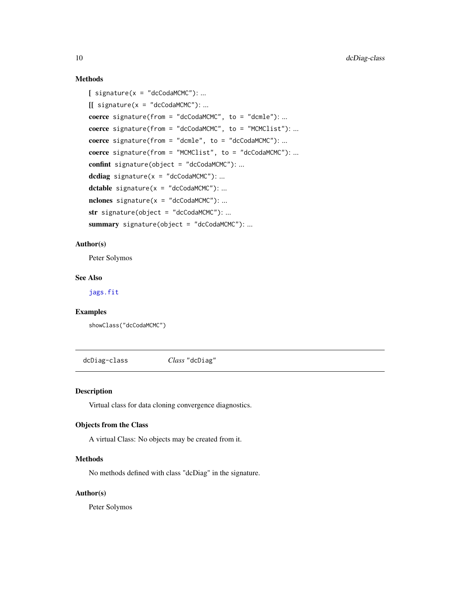# Methods

```
[ signature(x = "dcCodaMCMC"): ...
[ signature(x = "dcCodaMCMC"): ...
coerce signature(from = "dcCodaMCMC", to = "dcmle"): ...
coerce signature(from = "dcCodaMCMC", to = "MCMClist"): ...
coerce signature(from = "dcmle", to = "dcCodaMCMC"): ...
coerce signature(from = "MCMClist", to = "dcCodaMCMC"): ...
confint signature(object = "dcCodaMCMC"): ...
dcdiag signature(x = "dcCodaMCMC"): ...
dctable signature(x = "dcCodaMCMC"): ...
nclones signature(x = "dcCodaMCMC"): ...
str signature(object = "dcCodaMCMC"): ...
summary signature(object = "dcCodaMCMC"): ...
```
#### Author(s)

Peter Solymos

# See Also

[jags.fit](#page-0-0)

#### Examples

showClass("dcCodaMCMC")

<span id="page-9-1"></span>dcDiag-class *Class* "dcDiag"

#### Description

Virtual class for data cloning convergence diagnostics.

# Objects from the Class

A virtual Class: No objects may be created from it.

#### Methods

No methods defined with class "dcDiag" in the signature.

# Author(s)

Peter Solymos

<span id="page-9-0"></span>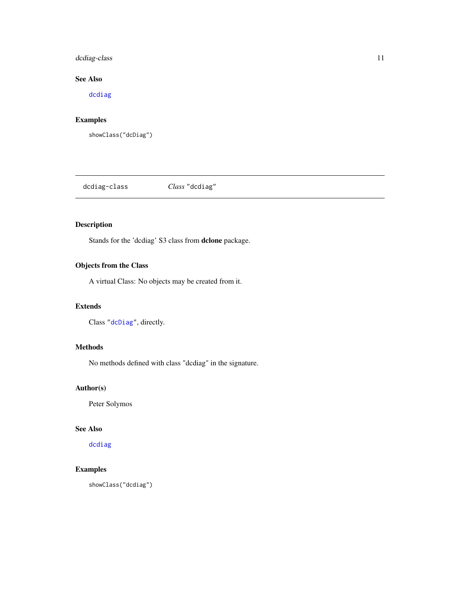# <span id="page-10-0"></span>dcdiag-class 11

# See Also

[dcdiag](#page-0-0)

# Examples

showClass("dcDiag")

dcdiag-class *Class* "dcdiag"

# Description

Stands for the 'dcdiag' S3 class from dclone package.

# Objects from the Class

A virtual Class: No objects may be created from it.

# Extends

Class ["dcDiag"](#page-9-1), directly.

# Methods

No methods defined with class "dcdiag" in the signature.

# Author(s)

Peter Solymos

#### See Also

[dcdiag](#page-0-0)

# Examples

showClass("dcdiag")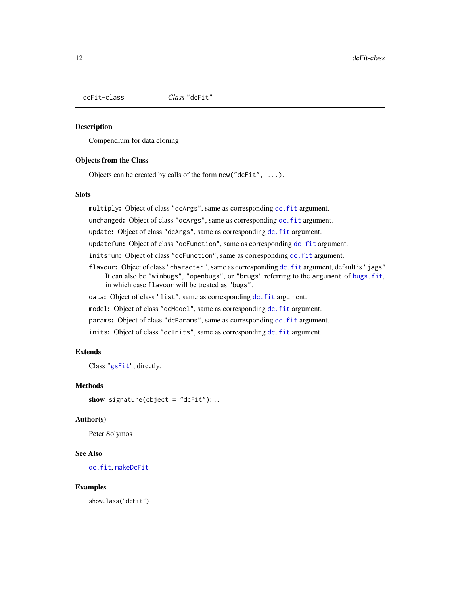<span id="page-11-1"></span><span id="page-11-0"></span>

#### **Description**

Compendium for data cloning

#### Objects from the Class

Objects can be created by calls of the form new("dcFit", ...).

#### **Slots**

multiply: Object of class "dcArgs", same as corresponding [dc.fit](#page-0-0) argument.

unchanged: Object of class "dcArgs", same as corresponding [dc.fit](#page-0-0) argument.

update: Object of class "dcArgs", same as corresponding [dc.fit](#page-0-0) argument.

updatefun: Object of class "dcFunction", same as corresponding [dc.fit](#page-0-0) argument.

initsfun: Object of class "dcFunction", same as corresponding [dc.fit](#page-0-0) argument.

flavour: Object of class "character", same as corresponding [dc.fit](#page-0-0) argument, default is "jags". It can also be "winbugs", "openbugs", or "brugs" referring to the argument of [bugs.fit](#page-0-0), in which case flavour will be treated as "bugs".

data: Object of class "list", same as corresponding [dc.fit](#page-0-0) argument.

model: Object of class "dcModel", same as corresponding [dc.fit](#page-0-0) argument.

params: Object of class "dcParams", same as corresponding [dc.fit](#page-0-0) argument.

inits: Object of class "dcInits", same as corresponding [dc.fit](#page-0-0) argument.

# Extends

Class ["gsFit"](#page-20-1), directly.

### Methods

show signature(object =  $"dcfit")$ : ...

#### Author(s)

Peter Solymos

# See Also

[dc.fit](#page-0-0), [makeDcFit](#page-21-2)

#### Examples

showClass("dcFit")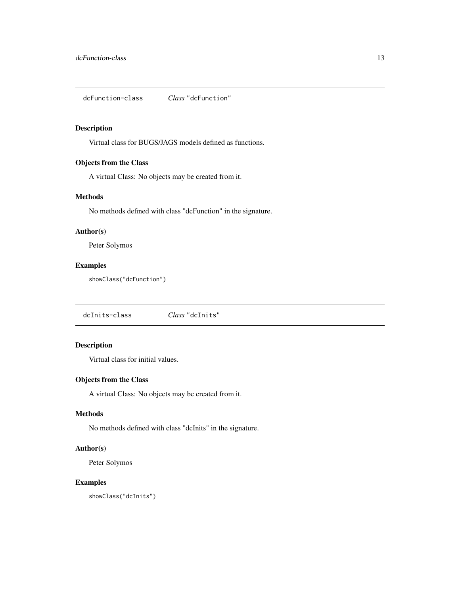<span id="page-12-0"></span>dcFunction-class *Class* "dcFunction"

# Description

Virtual class for BUGS/JAGS models defined as functions.

# Objects from the Class

A virtual Class: No objects may be created from it.

# Methods

No methods defined with class "dcFunction" in the signature.

# Author(s)

Peter Solymos

## Examples

showClass("dcFunction")

dcInits-class *Class* "dcInits"

# Description

Virtual class for initial values.

# Objects from the Class

A virtual Class: No objects may be created from it.

### Methods

No methods defined with class "dcInits" in the signature.

#### Author(s)

Peter Solymos

# Examples

showClass("dcInits")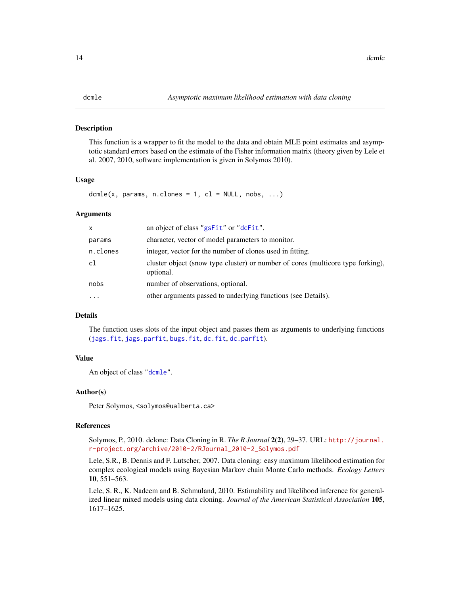#### <span id="page-13-1"></span><span id="page-13-0"></span>Description

This function is a wrapper to fit the model to the data and obtain MLE point estimates and asymptotic standard errors based on the estimate of the Fisher information matrix (theory given by Lele et al. 2007, 2010, software implementation is given in Solymos 2010).

#### Usage

dcmle(x, params, n.clones = 1, cl = NULL, nobs,  $\dots$ )

#### Arguments

| x        | an object of class "gsFit" or "dcFit".                                                       |
|----------|----------------------------------------------------------------------------------------------|
| params   | character, vector of model parameters to monitor.                                            |
| n.clones | integer, vector for the number of clones used in fitting.                                    |
| cl       | cluster object (snow type cluster) or number of cores (multicore type forking),<br>optional. |
| nobs     | number of observations, optional.                                                            |
| $\cdots$ | other arguments passed to underlying functions (see Details).                                |

# Details

The function uses slots of the input object and passes them as arguments to underlying functions ([jags.fit](#page-0-0), [jags.parfit](#page-0-0), [bugs.fit](#page-0-0), [dc.fit](#page-0-0), [dc.parfit](#page-0-0)).

#### Value

An object of class ["dcmle"](#page-15-1).

#### Author(s)

Peter Solymos, <solymos@ualberta.ca>

#### References

Solymos, P., 2010. dclone: Data Cloning in R. *The R Journal* 2(2), 29–37. URL: [http://journal.](http://journal.r-project.org/archive/2010-2/RJournal_2010-2_Solymos.pdf) [r-project.org/archive/2010-2/RJournal\\_2010-2\\_Solymos.pdf](http://journal.r-project.org/archive/2010-2/RJournal_2010-2_Solymos.pdf)

Lele, S.R., B. Dennis and F. Lutscher, 2007. Data cloning: easy maximum likelihood estimation for complex ecological models using Bayesian Markov chain Monte Carlo methods. *Ecology Letters* 10, 551–563.

Lele, S. R., K. Nadeem and B. Schmuland, 2010. Estimability and likelihood inference for generalized linear mixed models using data cloning. *Journal of the American Statistical Association* 105, 1617–1625.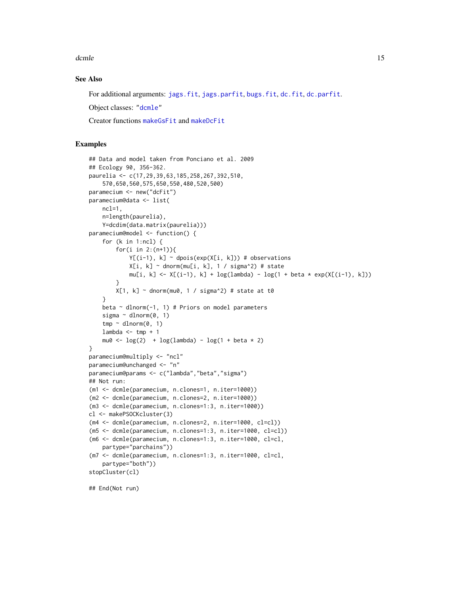<span id="page-14-0"></span>dcmle to the state of the state of the state of the state of the state of the state of the state of the state of the state of the state of the state of the state of the state of the state of the state of the state of the s

#### See Also

For additional arguments: [jags.fit](#page-0-0), [jags.parfit](#page-0-0), [bugs.fit](#page-0-0), [dc.fit](#page-0-0), [dc.parfit](#page-0-0).

Object classes: ["dcmle"](#page-15-1)

Creator functions [makeGsFit](#page-21-1) and [makeDcFit](#page-21-2)

#### Examples

```
## Data and model taken from Ponciano et al. 2009
## Ecology 90, 356-362.
paurelia <- c(17,29,39,63,185,258,267,392,510,
    570,650,560,575,650,550,480,520,500)
paramecium <- new("dcFit")
paramecium@data <- list(
   ncl=1,
   n=length(paurelia),
    Y=dcdim(data.matrix(paurelia)))
paramecium@model <- function() {
    for (k in 1:ncl) {
        for(i in 2:(n+1)){
            Y[(i-1), k] \sim dpois(exp(X[i, k])) # observations
            X[i, k] \sim dnorm(mu[i, k], 1 / sigma^2) # state
            mu[i, k] <- X[(i-1), k] + log(lambda) - log(1 + beta * exp(X[(i-1), k]))
        }
        X[1, k] ~ dnorm(mu0, 1 / sigma^2) # state at t0
    }
    beta \sim dlnorm(-1, 1) # Priors on model parameters
    sigma ~ dlnorm(0, 1)
    tmp ~ dlnorm(0, 1)lambda \le tmp + 1
    mu0 <- \log(2) + \log(\text{lambda}) - \log(1 + \text{beta} \times 2)}
paramecium@multiply <- "ncl"
paramecium@unchanged <- "n"
paramecium@params <- c("lambda","beta","sigma")
## Not run:
(m1 <- dcmle(paramecium, n.clones=1, n.iter=1000))
(m2 <- dcmle(paramecium, n.clones=2, n.iter=1000))
(m3 <- dcmle(paramecium, n.clones=1:3, n.iter=1000))
cl <- makePSOCKcluster(3)
(m4 <- dcmle(paramecium, n.clones=2, n.iter=1000, cl=cl))
(m5 <- dcmle(paramecium, n.clones=1:3, n.iter=1000, cl=cl))
(m6 <- dcmle(paramecium, n.clones=1:3, n.iter=1000, cl=cl,
    partype="parchains"))
(m7 <- dcmle(paramecium, n.clones=1:3, n.iter=1000, cl=cl,
    partype="both"))
stopCluster(cl)
```
## End(Not run)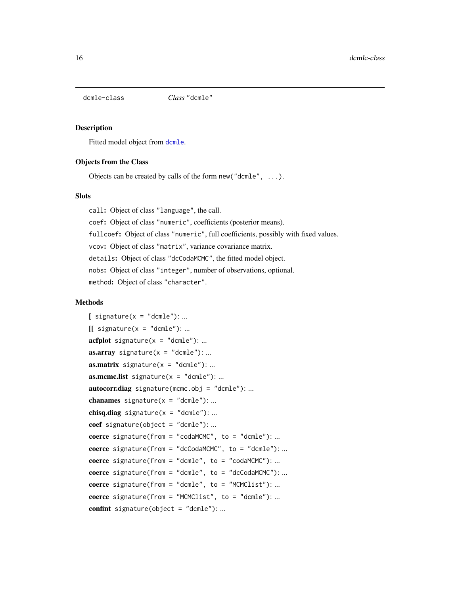<span id="page-15-1"></span><span id="page-15-0"></span>

# Description

Fitted model object from [dcmle](#page-13-1).

#### Objects from the Class

Objects can be created by calls of the form new ("dcmle",  $\dots$ ).

#### Slots

call: Object of class "language", the call. coef: Object of class "numeric", coefficients (posterior means). fullcoef: Object of class "numeric", full coefficients, possibly with fixed values. vcov: Object of class "matrix", variance covariance matrix. details: Object of class "dcCodaMCMC", the fitted model object. nobs: Object of class "integer", number of observations, optional. method: Object of class "character".

# Methods

```
[ signature(x = "dcmle"): ...
[ signature(x = "dcmle"): ...
\textbf{acfplot} \text{ signature}(x = "dcmle"); ...as.array signature(x = "dcmle"): ...
as.matrix signature(x = "dcmle"): ...

autocorr.diag signature(mcmc.obj = "dcmle"): ...
chanames signature(x = "dcmle"): ...
chisq.diag signature(x = "dcmle"): ...
coef signature(object = "dcmle"): ...
coerce signature(from = "codaMCMC", to = "dcmle"): ...
coerce signature(from = "dcCodaMCMC", to = "dcmle"): ...
coerce signature(from = "dcmle", to = "codaMCMC"): ...
coerce signature(from = "dcmle", to = "dcCodaMCMC"): ...
coerce signature(from = "dcmle", to = "MCMClist"): ...
coerce signature(from = "MCMClist", to = "dcmle"): ...
confint signature(object = "dcmle"): ...
```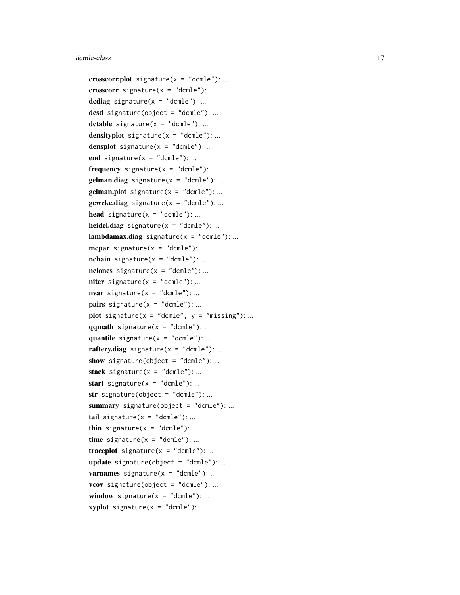```
crosscorr.plot signature(x = "dcmle"): ...
crosscorr signature(x = "dcmle"): ...
dcdiag signature(x = "dcmle"): ...
dcsd signature(object = "dcmle"): ...
dctable signature(x = "dcmle"): ...
densityplot signature(x = "dcmle"): ...
densplot signature(x = "dcmle"): ...
end signature(x = "dcmle"): ...
frequency signature(x = "dcmle"): ...
gelman.diag signature(x = "dcmle"): ...
gelman.plot signature(x = "dcmle"): ...
geweke.diag signature(x = "dcmle"): ...
head signature(x = "dcmle"): ...
heidel.diag signature(x = "dcmle"): ...
lambdamax.diag signature(x = "dcmle"): ...
mcpar signature(x = "dcmle"): ...
nchain signature(x = "dcmle"): ...
nclones signature(x = "dcmle"): ...
niter signature(x = "dcmle"): ...
nvar signature(x = "dcmle"): ...
pairs signature(x = "dcmle"): ...
plot signature(x = "dcmle", y = "missing": ...qqmath signature(x = "dcmle"): ...
quantile signature(x = "dcmle"): ...
raftery.diag signature(x = "dcmle"): ...
show signature(object = "dcmle"): ...
stack signature(x = "dcmle"): ...
start signature(x = "dcmle"): ...
str signature(object = "dcmle"): ...
summary signature(object = "dcmle"): ...
tail signature(x = "dcmle"): ...
thin signature(x = "dcmle"): ...
time signature(x = "dcmle"): ...
traceplot signature(x = "dcmle"): ...
update signature(object = "dcmle"): ...
varnames signature(x = "dcmle"): ...
vcov signature(object = "dcmle"): ...
window signature(x = "dcmle"): ...
xyplot signature(x = "dcmle"): ...
```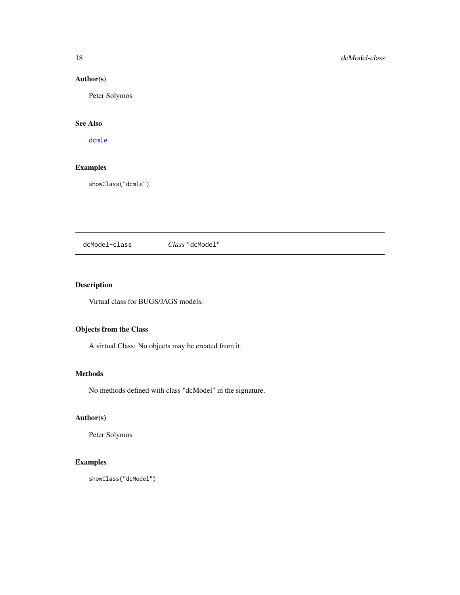# Author(s)

Peter Solymos

# See Also

[dcmle](#page-13-1)

# Examples

showClass("dcmle")

<span id="page-17-1"></span>dcModel-class *Class* "dcModel"

# Description

Virtual class for BUGS/JAGS models.

# Objects from the Class

A virtual Class: No objects may be created from it.

# Methods

No methods defined with class "dcModel" in the signature.

# Author(s)

Peter Solymos

# Examples

showClass("dcModel")

<span id="page-17-0"></span>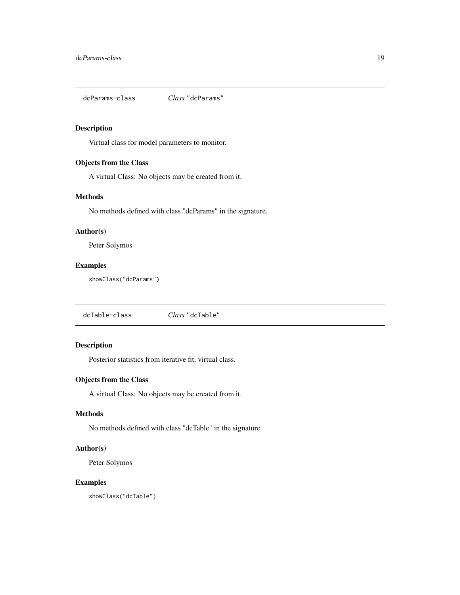<span id="page-18-0"></span>dcParams-class *Class* "dcParams"

# Description

Virtual class for model parameters to monitor.

# Objects from the Class

A virtual Class: No objects may be created from it.

# Methods

No methods defined with class "dcParams" in the signature.

# Author(s)

Peter Solymos

# Examples

showClass("dcParams")

<span id="page-18-1"></span>dcTable-class *Class* "dcTable"

#### Description

Posterior statistics from iterative fit, virtual class.

# Objects from the Class

A virtual Class: No objects may be created from it.

### Methods

No methods defined with class "dcTable" in the signature.

#### Author(s)

Peter Solymos

# Examples

showClass("dcTable")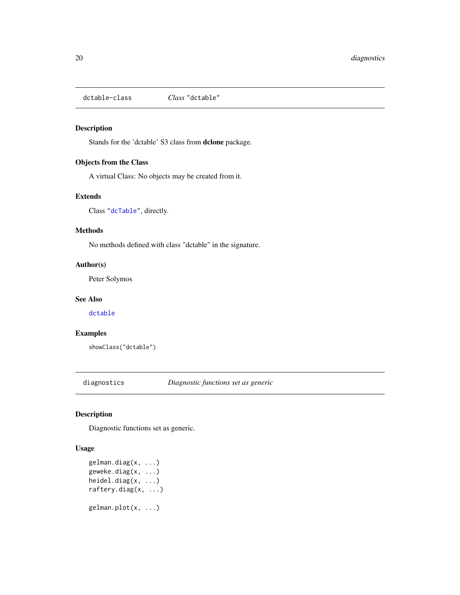<span id="page-19-0"></span>dctable-class *Class* "dctable"

# Description

Stands for the 'dctable' S3 class from dclone package.

# Objects from the Class

A virtual Class: No objects may be created from it.

# Extends

Class ["dcTable"](#page-18-1), directly.

#### Methods

No methods defined with class "dctable" in the signature.

#### Author(s)

Peter Solymos

#### See Also

[dctable](#page-0-0)

# Examples

showClass("dctable")

diagnostics *Diagnostic functions set as generic*

# <span id="page-19-1"></span>Description

Diagnostic functions set as generic.

#### Usage

gelman.diag(x, ...) geweke.diag(x, ...) heidel.diag(x, ...) raftery.diag(x, ...) gelman.plot(x, ...)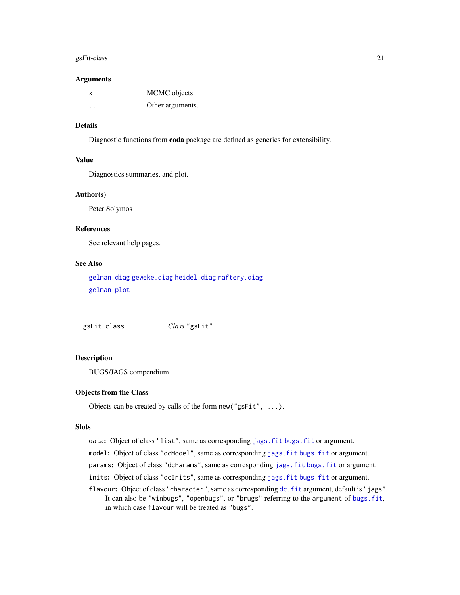#### <span id="page-20-0"></span>gsFit-class 21

#### Arguments

| X | MCMC objects.    |
|---|------------------|
| . | Other arguments. |

# Details

Diagnostic functions from coda package are defined as generics for extensibility.

#### Value

Diagnostics summaries, and plot.

#### Author(s)

Peter Solymos

# References

See relevant help pages.

#### See Also

[gelman.diag](#page-19-1) [geweke.diag](#page-19-1) [heidel.diag](#page-19-1) [raftery.diag](#page-19-1) [gelman.plot](#page-19-1)

<span id="page-20-1"></span>gsFit-class *Class* "gsFit"

### Description

BUGS/JAGS compendium

#### Objects from the Class

Objects can be created by calls of the form new("gsFit", ...).

#### **Slots**

data: Object of class "list", same as corresponding [jags.fit](#page-0-0) [bugs.fit](#page-0-0) or argument.

model: Object of class "dcModel", same as corresponding jags. fit bugs. fit or argument.

params: Object of class "dcParams", same as corresponding [jags.fit](#page-0-0) [bugs.fit](#page-0-0) or argument.

inits: Object of class "dcInits", same as corresponding [jags.fit](#page-0-0) [bugs.fit](#page-0-0) or argument.

flavour: Object of class "character", same as corresponding [dc.fit](#page-0-0) argument, default is "jags". It can also be "winbugs", "openbugs", or "brugs" referring to the argument of [bugs.fit](#page-0-0), in which case flavour will be treated as "bugs".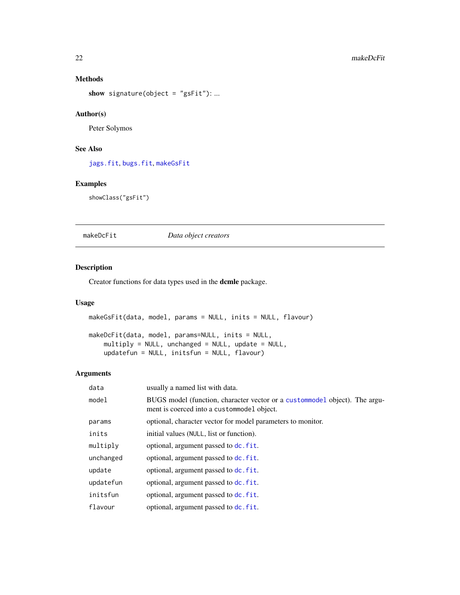# Methods

show signature(object =  $"gsFit"$ ): ...

# Author(s)

Peter Solymos

# See Also

[jags.fit](#page-0-0), [bugs.fit](#page-0-0), [makeGsFit](#page-21-1)

# Examples

showClass("gsFit")

<span id="page-21-2"></span>makeDcFit *Data object creators*

# <span id="page-21-1"></span>Description

Creator functions for data types used in the dcmle package.

### Usage

makeGsFit(data, model, params = NULL, inits = NULL, flavour) makeDcFit(data, model, params=NULL, inits = NULL, multiply = NULL, unchanged = NULL, update = NULL, updatefun = NULL, initsfun = NULL, flavour)

#### Arguments

| data      | usually a named list with data.                                                                                            |
|-----------|----------------------------------------------------------------------------------------------------------------------------|
| model     | BUGS model (function, character vector or a custom model object). The argu-<br>ment is coerced into a custom model object. |
| params    | optional, character vector for model parameters to monitor.                                                                |
| inits     | initial values (NULL, list or function).                                                                                   |
| multiply  | optional, argument passed to dc. fit.                                                                                      |
| unchanged | optional, argument passed to dc. fit.                                                                                      |
| update    | optional, argument passed to dc. fit.                                                                                      |
| updatefun | optional, argument passed to dc. fit.                                                                                      |
| initsfun  | optional, argument passed to dc. fit.                                                                                      |
| flavour   | optional, argument passed to dc. fit.                                                                                      |

<span id="page-21-0"></span>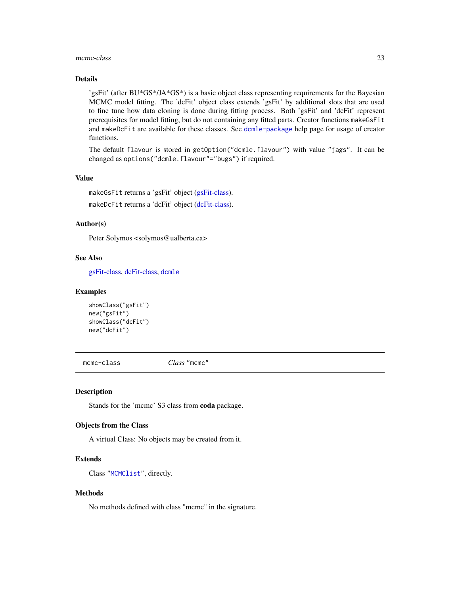#### <span id="page-22-0"></span> $m$ cmc-class 23

# Details

'gsFit' (after BU\*GS\*/JA\*GS\*) is a basic object class representing requirements for the Bayesian MCMC model fitting. The 'dcFit' object class extends 'gsFit' by additional slots that are used to fine tune how data cloning is done during fitting process. Both 'gsFit' and 'dcFit' represent prerequisites for model fitting, but do not containing any fitted parts. Creator functions makeGsFit and makeDcFit are available for these classes. See [dcmle-package](#page-1-1) help page for usage of creator functions.

The default flavour is stored in getOption("dcmle.flavour") with value "jags". It can be changed as options("dcmle.flavour"="bugs") if required.

#### Value

makeGsFit returns a 'gsFit' object [\(gsFit-class\)](#page-20-1). makeDcFit returns a 'dcFit' object [\(dcFit-class\)](#page-11-1).

#### Author(s)

Peter Solymos <solymos@ualberta.ca>

#### See Also

[gsFit-class,](#page-20-1) [dcFit-class,](#page-11-1) [dcmle](#page-13-1)

#### Examples

```
showClass("gsFit")
new("gsFit")
showClass("dcFit")
new("dcFit")
```
mcmc-class *Class* "mcmc"

#### Description

Stands for the 'mcmc' S3 class from coda package.

# Objects from the Class

A virtual Class: No objects may be created from it.

# Extends

Class ["MCMClist"](#page-24-1), directly.

# Methods

No methods defined with class "mcmc" in the signature.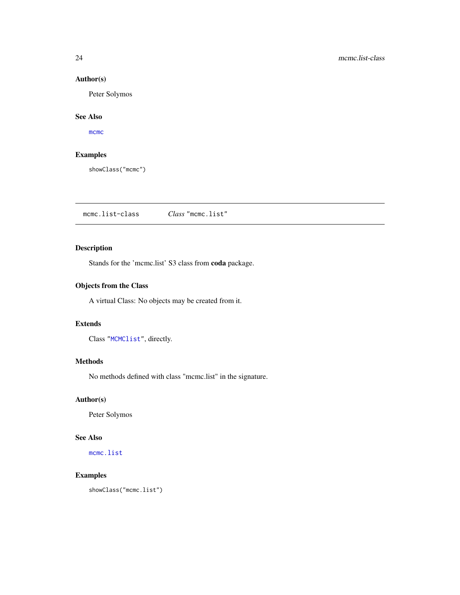# Author(s)

Peter Solymos

# See Also

[mcmc](#page-0-0)

# Examples

showClass("mcmc")

mcmc.list-class *Class* "mcmc.list"

# Description

Stands for the 'mcmc.list' S3 class from coda package.

# Objects from the Class

A virtual Class: No objects may be created from it.

# Extends

Class ["MCMClist"](#page-24-1), directly.

#### Methods

No methods defined with class "mcmc.list" in the signature.

# Author(s)

Peter Solymos

# See Also

[mcmc.list](#page-0-0)

# Examples

showClass("mcmc.list")

<span id="page-23-0"></span>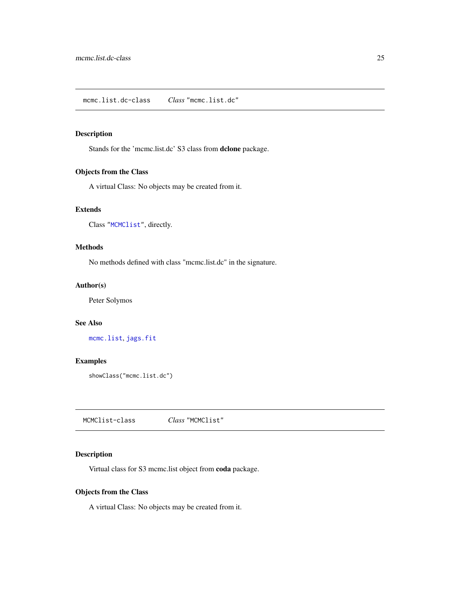#### <span id="page-24-0"></span>Description

Stands for the 'mcmc.list.dc' S3 class from dclone package.

# Objects from the Class

A virtual Class: No objects may be created from it.

# Extends

Class ["MCMClist"](#page-24-1), directly.

# Methods

No methods defined with class "mcmc.list.dc" in the signature.

#### Author(s)

Peter Solymos

#### See Also

[mcmc.list](#page-0-0), [jags.fit](#page-0-0)

# Examples

showClass("mcmc.list.dc")

<span id="page-24-1"></span>MCMClist-class *Class* "MCMClist"

# Description

Virtual class for S3 mcmc.list object from coda package.

#### Objects from the Class

A virtual Class: No objects may be created from it.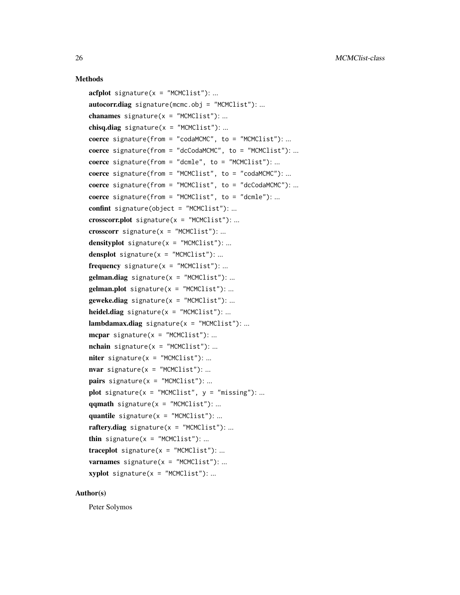#### Methods

```
\textbf{acfblot} signature(x = "MCMClist"): ...
autocorr.diag signature(mcmc.obj = "MCMClist"):...
chanames signature(x = "MCMClist"): ...
chisq.diag signature(x = "MCMClist"): ...
coerce signature(from = "codaMCMC", to = "MCMClist"): ...
coerce signature(from = "dcCodaMCMC", to = "MCMClist"): ...
coerce signature(from = "dcmle", to = "MCMClist"): ...
coerce signature(from = "MCMClist", to = "codaMCMC"): ...
coerce signature(from = "MCMClist", to = "dcCodaMCMC"): ...
coerce signature(from = "MCMClist", to = "dcmle"): ...
confint signature(object = "MCMClist"): ...
crosscorr.plot signature(x = "MCMClist"): ...
crosscorr signature(x = "MCMClist"): ...
densityplot signature(x = "MCMClist"): ...
densplot signature(x = "MCMClist"): ...
frequency signature(x = "MCMClist"): ...
gelman.diag signature(x = "MCMClist"):...
gelman.plot signature(x = "MCMClist"):...
geweke.diag signature(x = "MCMClist"): ...
heidel.diag signature(x = "MCMClist"): ...
lambdambdamax.diag signature(x = "MCMClist"): ...
mcpar signature(x = "MCMClist"): ...
nchain signature(x = "MCMClist"): ...
\text{niter signature}(x = \text{"MCMClist"}): ...\textbf{war} signature(x = "MCMClist"): ...
pairs signature(x = "MCMClist"): ...
plot signature(x = "MCMClist", y = "missing"):...
qqmathignature(x = "MCMClist"): ...
quantile signature(x = "MCMClist"): ...
raftery.diag signature(x = "MCMClist"): ...
thin signature(x = "MCMClist"): ...
traceplot signature(x = "MCMClist"): ...
varnames signature(x = "MCMClist"): ...
xyplot signature(x = "MCMClist"):...
```
#### Author(s)

Peter Solymos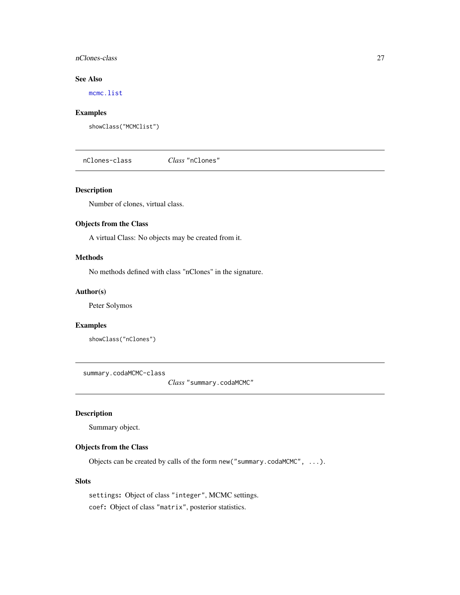## <span id="page-26-0"></span>nClones-class 27

# See Also

[mcmc.list](#page-0-0)

# Examples

showClass("MCMClist")

nClones-class *Class* "nClones"

#### Description

Number of clones, virtual class.

# Objects from the Class

A virtual Class: No objects may be created from it.

# Methods

No methods defined with class "nClones" in the signature.

#### Author(s)

Peter Solymos

#### Examples

showClass("nClones")

<span id="page-26-1"></span>summary.codaMCMC-class

*Class* "summary.codaMCMC"

# Description

Summary object.

# Objects from the Class

Objects can be created by calls of the form new("summary.codaMCMC", ...).

# Slots

settings: Object of class "integer", MCMC settings. coef: Object of class "matrix", posterior statistics.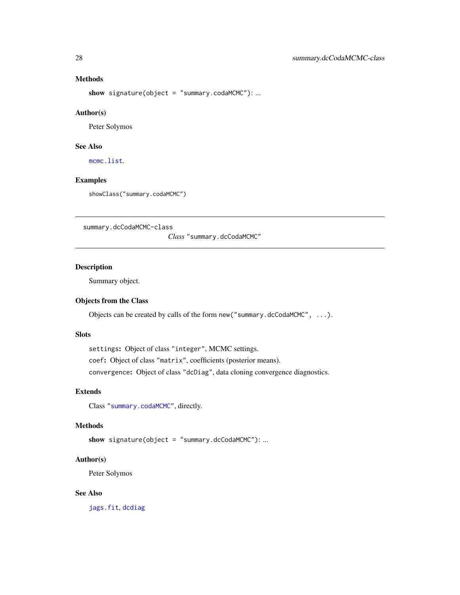# Methods

show signature(object = "summary.codaMCMC"): ...

#### Author(s)

Peter Solymos

#### See Also

[mcmc.list](#page-0-0).

#### Examples

showClass("summary.codaMCMC")

<span id="page-27-1"></span>summary.dcCodaMCMC-class

*Class* "summary.dcCodaMCMC"

# Description

Summary object.

# Objects from the Class

Objects can be created by calls of the form new("summary.dcCodaMCMC", ...).

# Slots

settings: Object of class "integer", MCMC settings.

coef: Object of class "matrix", coefficients (posterior means).

convergence: Object of class "dcDiag", data cloning convergence diagnostics.

#### Extends

Class ["summary.codaMCMC"](#page-26-1), directly.

# Methods

show signature(object = "summary.dcCodaMCMC"): ...

### Author(s)

Peter Solymos

# See Also

[jags.fit](#page-0-0), [dcdiag](#page-0-0)

<span id="page-27-0"></span>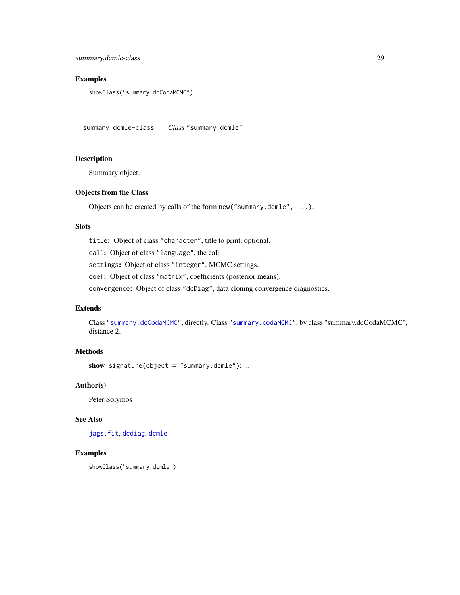<span id="page-28-0"></span>summary.dcmle-class 29

# Examples

showClass("summary.dcCodaMCMC")

summary.dcmle-class *Class* "summary.dcmle"

#### Description

Summary object.

#### Objects from the Class

Objects can be created by calls of the form new("summary.dcmle", ...).

#### Slots

title: Object of class "character", title to print, optional.

call: Object of class "language", the call.

settings: Object of class "integer", MCMC settings.

coef: Object of class "matrix", coefficients (posterior means).

convergence: Object of class "dcDiag", data cloning convergence diagnostics.

# Extends

Class ["summary.dcCodaMCMC"](#page-27-1), directly. Class ["summary.codaMCMC"](#page-26-1), by class "summary.dcCodaMCMC", distance 2.

# Methods

show signature(object = "summary.dcmle"): ...

#### Author(s)

Peter Solymos

# See Also

[jags.fit](#page-0-0), [dcdiag](#page-0-0), [dcmle](#page-13-1)

#### Examples

```
showClass("summary.dcmle")
```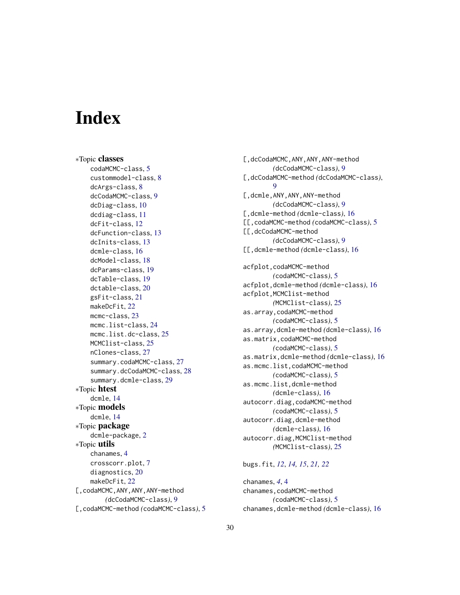# <span id="page-29-0"></span>**Index**

∗Topic classes codaMCMC-class, [5](#page-4-0) custommodel-class, [8](#page-7-0) dcArgs-class, [8](#page-7-0) dcCodaMCMC-class, [9](#page-8-0) dcDiag-class, [10](#page-9-0) dcdiag-class, [11](#page-10-0) dcFit-class, [12](#page-11-0) dcFunction-class, [13](#page-12-0) dcInits-class, [13](#page-12-0) dcmle-class, [16](#page-15-0) dcModel-class, [18](#page-17-0) dcParams-class, [19](#page-18-0) dcTable-class, [19](#page-18-0) dctable-class, [20](#page-19-0) gsFit-class, [21](#page-20-0) makeDcFit, [22](#page-21-0) mcmc-class, [23](#page-22-0) mcmc.list-class, [24](#page-23-0) mcmc.list.dc-class, [25](#page-24-0) MCMClist-class, [25](#page-24-0) nClones-class, [27](#page-26-0) summary.codaMCMC-class, [27](#page-26-0) summary.dcCodaMCMC-class, [28](#page-27-0) summary.dcmle-class, [29](#page-28-0) ∗Topic htest dcmle, [14](#page-13-0) ∗Topic models dcmle, [14](#page-13-0) ∗Topic package dcmle-package, [2](#page-1-0) ∗Topic utils chanames, [4](#page-3-0) crosscorr.plot, [7](#page-6-0) diagnostics, [20](#page-19-0) makeDcFit, [22](#page-21-0) [,codaMCMC,ANY,ANY,ANY-method *(*dcCodaMCMC-class*)*, [9](#page-8-0) [,codaMCMC-method *(*codaMCMC-class*)*, [5](#page-4-0)

[,dcCodaMCMC,ANY,ANY,ANY-method *(*dcCodaMCMC-class*)*, [9](#page-8-0) [,dcCodaMCMC-method *(*dcCodaMCMC-class*)*,  $\mathbf Q$ [,dcmle,ANY,ANY,ANY-method *(*dcCodaMCMC-class*)*, [9](#page-8-0) [,dcmle-method *(*dcmle-class*)*, [16](#page-15-0) [[,codaMCMC-method *(*codaMCMC-class*)*, [5](#page-4-0) [[,dcCodaMCMC-method *(*dcCodaMCMC-class*)*, [9](#page-8-0) [[,dcmle-method *(*dcmle-class*)*, [16](#page-15-0) acfplot,codaMCMC-method *(*codaMCMC-class*)*, [5](#page-4-0) acfplot,dcmle-method *(*dcmle-class*)*, [16](#page-15-0) acfplot,MCMClist-method *(*MCMClist-class*)*, [25](#page-24-0) as.array,codaMCMC-method *(*codaMCMC-class*)*, [5](#page-4-0) as.array,dcmle-method *(*dcmle-class*)*, [16](#page-15-0) as.matrix,codaMCMC-method *(*codaMCMC-class*)*, [5](#page-4-0) as.matrix,dcmle-method *(*dcmle-class*)*, [16](#page-15-0) as.mcmc.list,codaMCMC-method *(*codaMCMC-class*)*, [5](#page-4-0) as.mcmc.list,dcmle-method *(*dcmle-class*)*, [16](#page-15-0) autocorr.diag,codaMCMC-method *(*codaMCMC-class*)*, [5](#page-4-0) autocorr.diag,dcmle-method *(*dcmle-class*)*, [16](#page-15-0) autocorr.diag,MCMClist-method *(*MCMClist-class*)*, [25](#page-24-0)

# bugs.fit, *[12](#page-11-0)*, *[14,](#page-13-0) [15](#page-14-0)*, *[21,](#page-20-0) [22](#page-21-0)*

chanames, *[4](#page-3-0)*, [4](#page-3-0) chanames,codaMCMC-method *(*codaMCMC-class*)*, [5](#page-4-0) chanames,dcmle-method *(*dcmle-class*)*, [16](#page-15-0)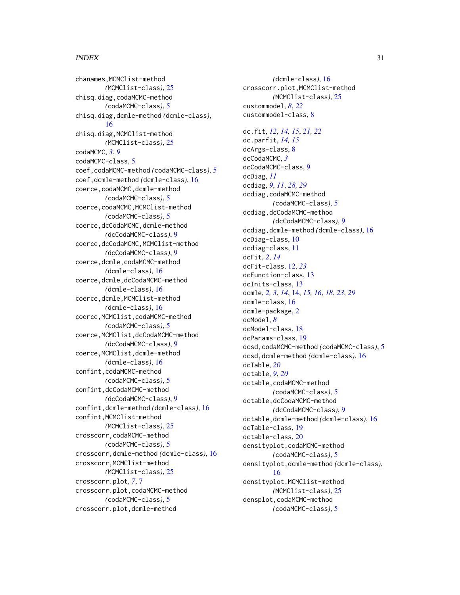#### INDEX  $31$

chanames,MCMClist-method *(*MCMClist-class*)*, [25](#page-24-0) chisq.diag,codaMCMC-method *(*codaMCMC-class*)*, [5](#page-4-0) chisq.diag,dcmle-method *(*dcmle-class*)*, [16](#page-15-0) chisq.diag,MCMClist-method *(*MCMClist-class*)*, [25](#page-24-0) codaMCMC, *[3](#page-2-0)*, *[9](#page-8-0)* codaMCMC-class, [5](#page-4-0) coef,codaMCMC-method *(*codaMCMC-class*)*, [5](#page-4-0) coef,dcmle-method *(*dcmle-class*)*, [16](#page-15-0) coerce, codaMCMC, dcmle-method *(*codaMCMC-class*)*, [5](#page-4-0) coerce,codaMCMC,MCMClist-method *(*codaMCMC-class*)*, [5](#page-4-0) coerce,dcCodaMCMC,dcmle-method *(*dcCodaMCMC-class*)*, [9](#page-8-0) coerce,dcCodaMCMC,MCMClist-method *(*dcCodaMCMC-class*)*, [9](#page-8-0) coerce,dcmle,codaMCMC-method *(*dcmle-class*)*, [16](#page-15-0) coerce,dcmle,dcCodaMCMC-method *(*dcmle-class*)*, [16](#page-15-0) coerce,dcmle,MCMClist-method *(*dcmle-class*)*, [16](#page-15-0) coerce,MCMClist,codaMCMC-method *(*codaMCMC-class*)*, [5](#page-4-0) coerce,MCMClist,dcCodaMCMC-method *(*dcCodaMCMC-class*)*, [9](#page-8-0) coerce,MCMClist,dcmle-method *(*dcmle-class*)*, [16](#page-15-0) confint,codaMCMC-method *(*codaMCMC-class*)*, [5](#page-4-0) confint,dcCodaMCMC-method *(*dcCodaMCMC-class*)*, [9](#page-8-0) confint,dcmle-method *(*dcmle-class*)*, [16](#page-15-0) confint,MCMClist-method *(*MCMClist-class*)*, [25](#page-24-0) crosscorr,codaMCMC-method *(*codaMCMC-class*)*, [5](#page-4-0) crosscorr,dcmle-method *(*dcmle-class*)*, [16](#page-15-0) crosscorr,MCMClist-method *(*MCMClist-class*)*, [25](#page-24-0) crosscorr.plot, *[7](#page-6-0)*, [7](#page-6-0) crosscorr.plot,codaMCMC-method *(*codaMCMC-class*)*, [5](#page-4-0) crosscorr.plot,dcmle-method

*(*dcmle-class*)*, [16](#page-15-0) crosscorr.plot,MCMClist-method *(*MCMClist-class*)*, [25](#page-24-0) custommodel, *[8](#page-7-0)*, *[22](#page-21-0)* custommodel-class, [8](#page-7-0) dc.fit, *[12](#page-11-0)*, *[14,](#page-13-0) [15](#page-14-0)*, *[21,](#page-20-0) [22](#page-21-0)* dc.parfit, *[14,](#page-13-0) [15](#page-14-0)* dcArgs-class, [8](#page-7-0) dcCodaMCMC, *[3](#page-2-0)* dcCodaMCMC-class, [9](#page-8-0) dcDiag, *[11](#page-10-0)* dcdiag, *[9](#page-8-0)*, *[11](#page-10-0)*, *[28,](#page-27-0) [29](#page-28-0)* dcdiag,codaMCMC-method *(*codaMCMC-class*)*, [5](#page-4-0) dcdiag,dcCodaMCMC-method *(*dcCodaMCMC-class*)*, [9](#page-8-0) dcdiag,dcmle-method *(*dcmle-class*)*, [16](#page-15-0) dcDiag-class, [10](#page-9-0) dcdiag-class, [11](#page-10-0) dcFit, *[2](#page-1-0)*, *[14](#page-13-0)* dcFit-class, [12,](#page-11-0) *[23](#page-22-0)* dcFunction-class, [13](#page-12-0) dcInits-class, [13](#page-12-0) dcmle, *[2,](#page-1-0) [3](#page-2-0)*, *[14](#page-13-0)*, [14,](#page-13-0) *[15,](#page-14-0) [16](#page-15-0)*, *[18](#page-17-0)*, *[23](#page-22-0)*, *[29](#page-28-0)* dcmle-class, [16](#page-15-0) dcmle-package, [2](#page-1-0) dcModel, *[8](#page-7-0)* dcModel-class, [18](#page-17-0) dcParams-class, [19](#page-18-0) dcsd,codaMCMC-method *(*codaMCMC-class*)*, [5](#page-4-0) dcsd,dcmle-method *(*dcmle-class*)*, [16](#page-15-0) dcTable, *[20](#page-19-0)* dctable, *[9](#page-8-0)*, *[20](#page-19-0)* dctable, codaMCMC-method *(*codaMCMC-class*)*, [5](#page-4-0) dctable,dcCodaMCMC-method *(*dcCodaMCMC-class*)*, [9](#page-8-0) dctable,dcmle-method *(*dcmle-class*)*, [16](#page-15-0) dcTable-class, [19](#page-18-0) dctable-class, [20](#page-19-0) densityplot,codaMCMC-method *(*codaMCMC-class*)*, [5](#page-4-0) densityplot,dcmle-method *(*dcmle-class*)*, [16](#page-15-0) densityplot,MCMClist-method *(*MCMClist-class*)*, [25](#page-24-0) densplot,codaMCMC-method *(*codaMCMC-class*)*, [5](#page-4-0)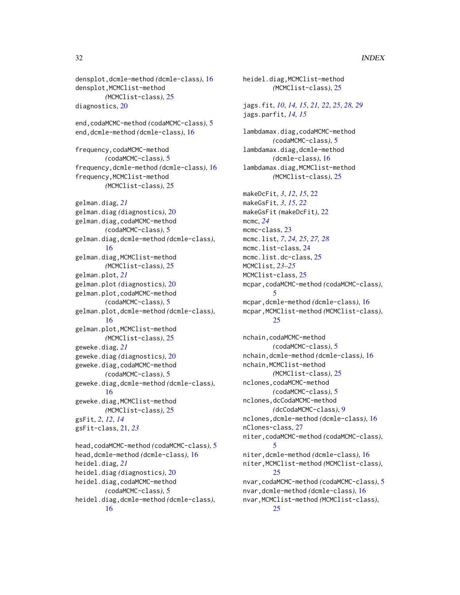#### 32 INDEX

densplot,dcmle-method *(*dcmle-class*)*, [16](#page-15-0) densplot,MCMClist-method *(*MCMClist-class*)*, [25](#page-24-0) diagnostics, [20](#page-19-0) end,codaMCMC-method *(*codaMCMC-class*)*, [5](#page-4-0) end,dcmle-method *(*dcmle-class*)*, [16](#page-15-0) frequency,codaMCMC-method *(*codaMCMC-class*)*, [5](#page-4-0) frequency,dcmle-method *(*dcmle-class*)*, [16](#page-15-0) frequency,MCMClist-method *(*MCMClist-class*)*, [25](#page-24-0) gelman.diag, *[21](#page-20-0)* gelman.diag *(*diagnostics*)*, [20](#page-19-0) gelman.diag,codaMCMC-method *(*codaMCMC-class*)*, [5](#page-4-0) gelman.diag,dcmle-method *(*dcmle-class*)*, [16](#page-15-0) gelman.diag,MCMClist-method *(*MCMClist-class*)*, [25](#page-24-0) gelman.plot, *[21](#page-20-0)* gelman.plot *(*diagnostics*)*, [20](#page-19-0) gelman.plot,codaMCMC-method *(*codaMCMC-class*)*, [5](#page-4-0) gelman.plot,dcmle-method *(*dcmle-class*)*, [16](#page-15-0) gelman.plot,MCMClist-method *(*MCMClist-class*)*, [25](#page-24-0) geweke.diag, *[21](#page-20-0)* geweke.diag *(*diagnostics*)*, [20](#page-19-0) geweke.diag,codaMCMC-method *(*codaMCMC-class*)*, [5](#page-4-0) geweke.diag,dcmle-method *(*dcmle-class*)*, [16](#page-15-0) geweke.diag,MCMClist-method *(*MCMClist-class*)*, [25](#page-24-0) gsFit, *[2](#page-1-0)*, *[12](#page-11-0)*, *[14](#page-13-0)* gsFit-class, [21,](#page-20-0) *[23](#page-22-0)* head,codaMCMC-method *(*codaMCMC-class*)*, [5](#page-4-0) head,dcmle-method *(*dcmle-class*)*, [16](#page-15-0) heidel.diag, *[21](#page-20-0)* heidel.diag *(*diagnostics*)*, [20](#page-19-0)

heidel.diag,codaMCMC-method *(*codaMCMC-class*)*, [5](#page-4-0) heidel.diag,dcmle-method *(*dcmle-class*)*,

*(*MCMClist-class*)*, [25](#page-24-0) jags.fit, *[10](#page-9-0)*, *[14,](#page-13-0) [15](#page-14-0)*, *[21,](#page-20-0) [22](#page-21-0)*, *[25](#page-24-0)*, *[28,](#page-27-0) [29](#page-28-0)* jags.parfit, *[14,](#page-13-0) [15](#page-14-0)* lambdamax.diag,codaMCMC-method *(*codaMCMC-class*)*, [5](#page-4-0) lambdamax.diag,dcmle-method *(*dcmle-class*)*, [16](#page-15-0) lambdamax.diag,MCMClist-method *(*MCMClist-class*)*, [25](#page-24-0) makeDcFit, *[3](#page-2-0)*, *[12](#page-11-0)*, *[15](#page-14-0)*, [22](#page-21-0) makeGsFit, *[3](#page-2-0)*, *[15](#page-14-0)*, *[22](#page-21-0)* makeGsFit *(*makeDcFit*)*, [22](#page-21-0) mcmc, *[24](#page-23-0)* mcmc-class, [23](#page-22-0) mcmc.list, *[7](#page-6-0)*, *[24,](#page-23-0) [25](#page-24-0)*, *[27,](#page-26-0) [28](#page-27-0)* mcmc.list-class, [24](#page-23-0) mcmc.list.dc-class, [25](#page-24-0) MCMClist, *[23](#page-22-0)[–25](#page-24-0)* MCMClist-class, [25](#page-24-0) mcpar,codaMCMC-method *(*codaMCMC-class*)*, [5](#page-4-0) mcpar,dcmle-method *(*dcmle-class*)*, [16](#page-15-0) mcpar,MCMClist-method *(*MCMClist-class*)*, [25](#page-24-0) nchain,codaMCMC-method *(*codaMCMC-class*)*, [5](#page-4-0) nchain,dcmle-method *(*dcmle-class*)*, [16](#page-15-0) nchain,MCMClist-method *(*MCMClist-class*)*, [25](#page-24-0) nclones,codaMCMC-method *(*codaMCMC-class*)*, [5](#page-4-0) nclones,dcCodaMCMC-method

heidel.diag,MCMClist-method

```
(dcCodaMCMC-class), 9
nclones,dcmle-method (dcmle-class), 16
nClones-class, 27
niter,codaMCMC-method (codaMCMC-class),
        5
niter,dcmle-method (dcmle-class), 16
niter,MCMClist-method (MCMClist-class),
        25
nvar,codaMCMC-method (codaMCMC-class), 5
nvar,dcmle-method (dcmle-class), 16
nvar,MCMClist-method (MCMClist-class),
```

```
16
```
[25](#page-24-0)